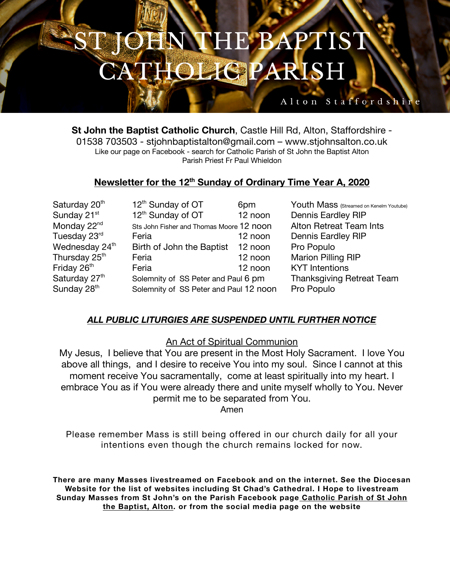# **HN THE BAPTIST HOLIGPARISH**

### Alton Staffordshi

**St John the Baptist Catholic Church**, Castle Hill Rd, Alton, Staffordshire - 01538 703503 - stjohnbaptistalton@gmail.com – www.stjohnsalton.co.uk Like our page on Facebook - search for Catholic Parish of St John the Baptist Alton Parish Priest Fr Paul Whieldon

### **Newsletter for the 12th Sunday of Ordinary Time Year A, 2020**

| Saturday 20 <sup>th</sup>  | 12 <sup>th</sup> Sunday of OT            | 6pm     | Youth Mass (Streamed on Kenelm Youtube) |
|----------------------------|------------------------------------------|---------|-----------------------------------------|
| Sunday 21 <sup>st</sup>    | 12 <sup>th</sup> Sunday of OT            | 12 noon | <b>Dennis Eardley RIP</b>               |
| Monday 22 <sup>nd</sup>    | Sts John Fisher and Thomas Moore 12 noon |         | <b>Alton Retreat Team Ints</b>          |
| Tuesday 23rd               | Feria                                    | 12 noon | <b>Dennis Eardley RIP</b>               |
| Wednesday 24 <sup>th</sup> | Birth of John the Baptist                | 12 noon | Pro Populo                              |
| Thursday 25 <sup>th</sup>  | Feria                                    | 12 noon | Marion Pilling RIP                      |
| Friday 26 <sup>th</sup>    | Feria                                    | 12 noon | <b>KYT</b> Intentions                   |
| Saturday 27th              | Solemnity of SS Peter and Paul 6 pm      |         | <b>Thanksgiving Retreat Team</b>        |
| Sunday 28 <sup>th</sup>    | Solemnity of SS Peter and Paul 12 noon   |         | Pro Populo                              |

#### *ALL PUBLIC LITURGIES ARE SUSPENDED UNTIL FURTHER NOTICE*

An Act of Spiritual Communion

My Jesus, I believe that You are present in the Most Holy Sacrament. I love You above all things, and I desire to receive You into my soul. Since I cannot at this moment receive You sacramentally, come at least spiritually into my heart. I embrace You as if You were already there and unite myself wholly to You. Never permit me to be separated from You.

Amen

Please remember Mass is still being offered in our church daily for all your intentions even though the church remains locked for now.

**There are many Masses livestreamed on Facebook and on the internet. See the Diocesan Website for the list of websites including St Chad's Cathedral. I Hope to livestream Sunday Masses from St John's on the Parish Facebook page Catholic Parish of St John the Baptist, Alton. or from the social media page on the website**